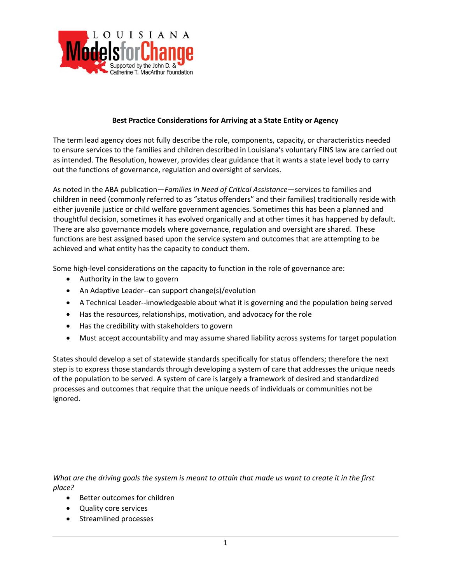

## **Best Practice Considerations for Arriving at a State Entity or Agency**

The term lead agency does not fully describe the role, components, capacity, or characteristics needed to ensure services to the families and children described in Louisiana's voluntary FINS law are carried out as intended. The Resolution, however, provides clear guidance that it wants a state level body to carry out the functions of governance, regulation and oversight of services.

As noted in the ABA publication—*Families in Need of Critical Assistance*—services to families and children in need (commonly referred to as "status offenders" and their families) traditionally reside with either juvenile justice or child welfare government agencies. Sometimes this has been a planned and thoughtful decision, sometimes it has evolved organically and at other times it has happened by default. There are also governance models where governance, regulation and oversight are shared. These functions are best assigned based upon the service system and outcomes that are attempting to be achieved and what entity has the capacity to conduct them.

Some high-level considerations on the capacity to function in the role of governance are:

- Authority in the law to govern
- An Adaptive Leader--can support change(s)/evolution
- A Technical Leader--knowledgeable about what it is governing and the population being served
- Has the resources, relationships, motivation, and advocacy for the role
- Has the credibility with stakeholders to govern
- Must accept accountability and may assume shared liability across systems for target population

States should develop a set of statewide standards specifically for status offenders; therefore the next step is to express those standards through developing a system of care that addresses the unique needs of the population to be served. A system of care is largely a framework of desired and standardized processes and outcomes that require that the unique needs of individuals or communities not be ignored.

What are the driving goals the system is meant to attain that made us want to create it in the first *place?*

- Better outcomes for children
- Quality core services
- Streamlined processes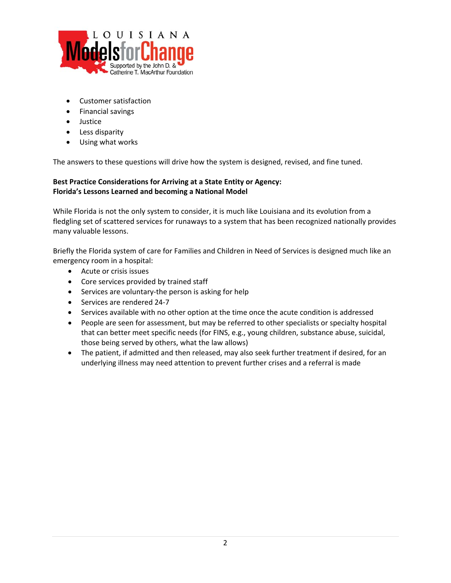

- Customer satisfaction
- Financial savings
- Justice
- Less disparity
- Using what works

The answers to these questions will drive how the system is designed, revised, and fine tuned.

## **Best Practice Considerations for Arriving at a State Entity or Agency: Florida's Lessons Learned and becoming a National Model**

While Florida is not the only system to consider, it is much like Louisiana and its evolution from a fledgling set of scattered services for runaways to a system that has been recognized nationally provides many valuable lessons.

Briefly the Florida system of care for Families and Children in Need of Services is designed much like an emergency room in a hospital:

- Acute or crisis issues
- Core services provided by trained staff
- Services are voluntary-the person is asking for help
- Services are rendered 24-7
- Services available with no other option at the time once the acute condition is addressed
- People are seen for assessment, but may be referred to other specialists or specialty hospital that can better meet specific needs (for FINS, e.g., young children, substance abuse, suicidal, those being served by others, what the law allows)
- The patient, if admitted and then released, may also seek further treatment if desired, for an underlying illness may need attention to prevent further crises and a referral is made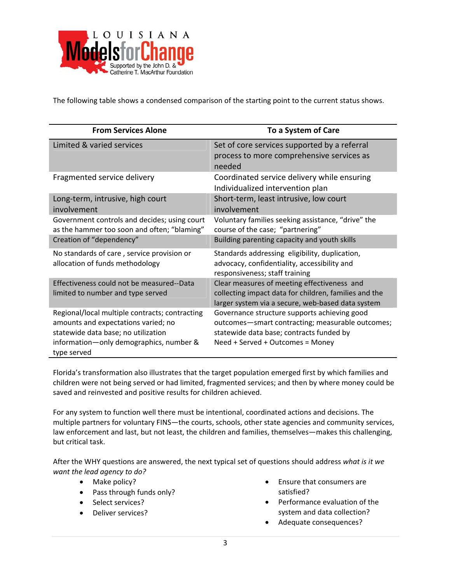

The following table shows a condensed comparison of the starting point to the current status shows.

| <b>From Services Alone</b>                                                                                                                                                             | To a System of Care                                                                                                                                                              |
|----------------------------------------------------------------------------------------------------------------------------------------------------------------------------------------|----------------------------------------------------------------------------------------------------------------------------------------------------------------------------------|
| Limited & varied services                                                                                                                                                              | Set of core services supported by a referral<br>process to more comprehensive services as<br>needed                                                                              |
| Fragmented service delivery                                                                                                                                                            | Coordinated service delivery while ensuring<br>Individualized intervention plan                                                                                                  |
| Long-term, intrusive, high court<br>involvement                                                                                                                                        | Short-term, least intrusive, low court<br>involvement                                                                                                                            |
| Government controls and decides; using court<br>as the hammer too soon and often; "blaming"                                                                                            | Voluntary families seeking assistance, "drive" the<br>course of the case; "partnering"                                                                                           |
| Creation of "dependency"                                                                                                                                                               | Building parenting capacity and youth skills                                                                                                                                     |
| No standards of care, service provision or<br>allocation of funds methodology                                                                                                          | Standards addressing eligibility, duplication,<br>advocacy, confidentiality, accessibility and<br>responsiveness; staff training                                                 |
| Effectiveness could not be measured--Data<br>limited to number and type served                                                                                                         | Clear measures of meeting effectiveness and<br>collecting impact data for children, families and the<br>larger system via a secure, web-based data system                        |
| Regional/local multiple contracts; contracting<br>amounts and expectations varied; no<br>statewide data base; no utilization<br>information-only demographics, number &<br>type served | Governance structure supports achieving good<br>outcomes-smart contracting; measurable outcomes;<br>statewide data base; contracts funded by<br>Need + Served + Outcomes = Money |

Florida's transformation also illustrates that the target population emerged first by which families and children were not being served or had limited, fragmented services; and then by where money could be saved and reinvested and positive results for children achieved.

For any system to function well there must be intentional, coordinated actions and decisions. The multiple partners for voluntary FINS—the courts, schools, other state agencies and community services, law enforcement and last, but not least, the children and families, themselves—makes this challenging, but critical task.

After the WHY questions are answered, the next typical set of questions should address *what is it we want the lead agency to do?*

- Make policy?
- Pass through funds only?
- Select services?
- Deliver services?
- Ensure that consumers are satisfied?
- Performance evaluation of the system and data collection?
- Adequate consequences?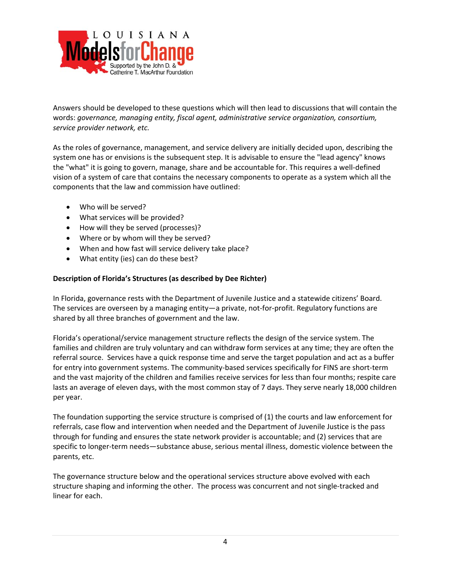

Answers should be developed to these questions which will then lead to discussions that will contain the words: *governance, managing entity, fiscal agent, administrative service organization, consortium, service provider network, etc.*

As the roles of governance, management, and service delivery are initially decided upon, describing the system one has or envisions is the subsequent step. It is advisable to ensure the "lead agency" knows the "what" it is going to govern, manage, share and be accountable for. This requires a well‐defined vision of a system of care that contains the necessary components to operate as a system which all the components that the law and commission have outlined:

- Who will be served?
- What services will be provided?
- How will they be served (processes)?
- Where or by whom will they be served?
- When and how fast will service delivery take place?
- What entity (ies) can do these best?

## **Description of Florida's Structures (as described by Dee Richter)**

In Florida, governance rests with the Department of Juvenile Justice and a statewide citizens' Board. The services are overseen by a managing entity—a private, not-for-profit. Regulatory functions are shared by all three branches of government and the law.

Florida's operational/service management structure reflects the design of the service system. The families and children are truly voluntary and can withdraw form services at any time; they are often the referral source. Services have a quick response time and serve the target population and act as a buffer for entry into government systems. The community-based services specifically for FINS are short-term and the vast majority of the children and families receive services for less than four months; respite care lasts an average of eleven days, with the most common stay of 7 days. They serve nearly 18,000 children per year.

The foundation supporting the service structure is comprised of (1) the courts and law enforcement for referrals, case flow and intervention when needed and the Department of Juvenile Justice is the pass through for funding and ensures the state network provider is accountable; and (2) services that are specific to longer-term needs-substance abuse, serious mental illness, domestic violence between the parents, etc.

The governance structure below and the operational services structure above evolved with each structure shaping and informing the other. The process was concurrent and not single‐tracked and linear for each.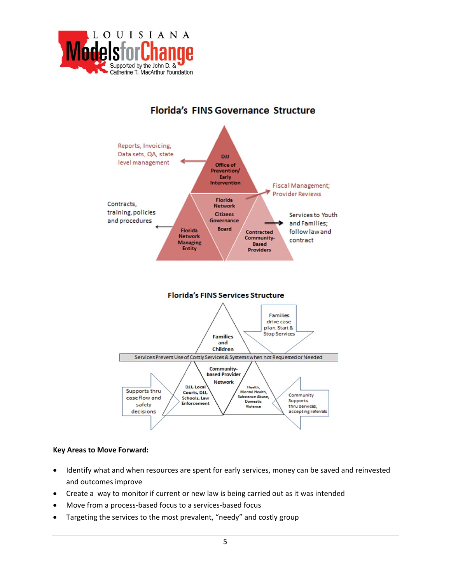

# **Florida's FINS Governance Structure**



#### **Key Areas to Move Forward:**

- Identify what and when resources are spent for early services, money can be saved and reinvested and outcomes improve
- Create a way to monitor if current or new law is being carried out as it was intended
- Move from a process‐based focus to a services‐based focus
- Targeting the services to the most prevalent, "needy" and costly group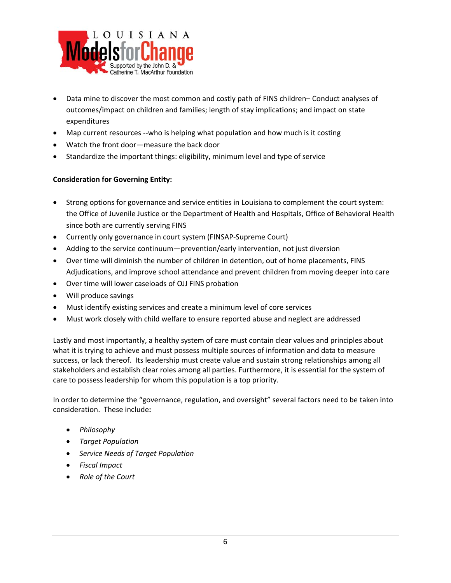

- Data mine to discover the most common and costly path of FINS children– Conduct analyses of outcomes/impact on children and families; length of stay implications; and impact on state expenditures
- Map current resources --who is helping what population and how much is it costing
- Watch the front door—measure the back door
- Standardize the important things: eligibility, minimum level and type of service

### **Consideration for Governing Entity:**

- Strong options for governance and service entities in Louisiana to complement the court system: the Office of Juvenile Justice or the Department of Health and Hospitals, Office of Behavioral Health since both are currently serving FINS
- Currently only governance in court system (FINSAP‐Supreme Court)
- Adding to the service continuum—prevention/early intervention, not just diversion
- Over time will diminish the number of children in detention, out of home placements, FINS Adjudications, and improve school attendance and prevent children from moving deeper into care
- Over time will lower caseloads of OJJ FINS probation
- Will produce savings
- Must identify existing services and create a minimum level of core services
- Must work closely with child welfare to ensure reported abuse and neglect are addressed

Lastly and most importantly, a healthy system of care must contain clear values and principles about what it is trying to achieve and must possess multiple sources of information and data to measure success, or lack thereof. Its leadership must create value and sustain strong relationships among all stakeholders and establish clear roles among all parties. Furthermore, it is essential for the system of care to possess leadership for whom this population is a top priority.

In order to determine the "governance, regulation, and oversight" several factors need to be taken into consideration. These include**:**

- *Philosophy*
- *Target Population*
- *Service Needs of Target Population*
- *Fiscal Impact*
- *Role of the Court*